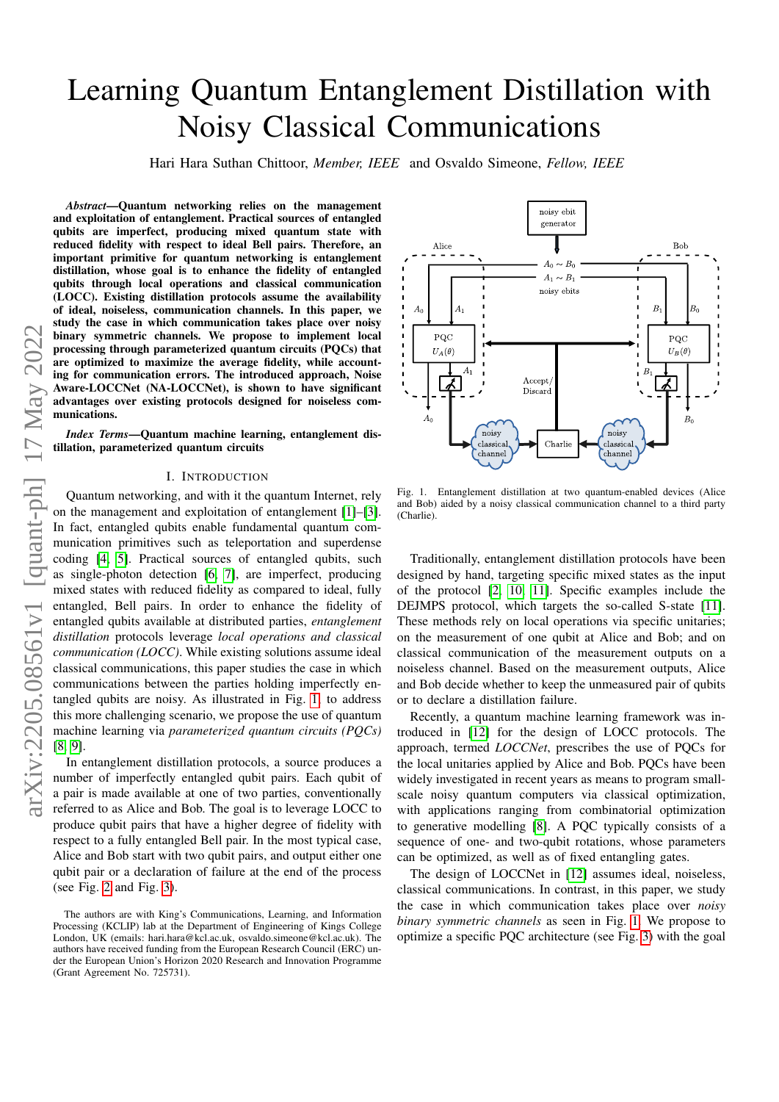# Learning Quantum Entanglement Distillation with Noisy Classical Communications

Hari Hara Suthan Chittoor, *Member, IEEE* and Osvaldo Simeone, *Fellow, IEEE*

*Abstract*—Quantum networking relies on the management and exploitation of entanglement. Practical sources of entangled qubits are imperfect, producing mixed quantum state with reduced fidelity with respect to ideal Bell pairs. Therefore, an important primitive for quantum networking is entanglement distillation, whose goal is to enhance the fidelity of entangled qubits through local operations and classical communication (LOCC). Existing distillation protocols assume the availability of ideal, noiseless, communication channels. In this paper, we study the case in which communication takes place over noisy binary symmetric channels. We propose to implement local processing through parameterized quantum circuits (PQCs) that are optimized to maximize the average fidelity, while accounting for communication errors. The introduced approach, Noise Aware-LOCCNet (NA-LOCCNet), is shown to have significant advantages over existing protocols designed for noiseless communications.

*Index Terms*—Quantum machine learning, entanglement distillation, parameterized quantum circuits

#### I. INTRODUCTION

Quantum networking, and with it the quantum Internet, rely on the management and exploitation of entanglement [\[1\]](#page-4-0)–[\[3\]](#page-4-1). In fact, entangled qubits enable fundamental quantum communication primitives such as teleportation and superdense coding [\[4,](#page-4-2) [5\]](#page-4-3). Practical sources of entangled qubits, such as single-photon detection [\[6,](#page-4-4) [7\]](#page-4-5), are imperfect, producing mixed states with reduced fidelity as compared to ideal, fully entangled, Bell pairs. In order to enhance the fidelity of entangled qubits available at distributed parties, *entanglement distillation* protocols leverage *local operations and classical communication (LOCC)*. While existing solutions assume ideal classical communications, this paper studies the case in which communications between the parties holding imperfectly entangled qubits are noisy. As illustrated in Fig. [1,](#page-0-0) to address this more challenging scenario, we propose the use of quantum machine learning via *parameterized quantum circuits (PQCs)* [\[8,](#page-4-6) [9\]](#page-4-7).

In entanglement distillation protocols, a source produces a number of imperfectly entangled qubit pairs. Each qubit of a pair is made available at one of two parties, conventionally referred to as Alice and Bob. The goal is to leverage LOCC to produce qubit pairs that have a higher degree of fidelity with respect to a fully entangled Bell pair. In the most typical case, Alice and Bob start with two qubit pairs, and output either one qubit pair or a declaration of failure at the end of the process (see Fig. [2](#page-2-0) and Fig. [3\)](#page-3-0).



<span id="page-0-0"></span>Fig. 1. Entanglement distillation at two quantum-enabled devices (Alice and Bob) aided by a noisy classical communication channel to a third party (Charlie).

Traditionally, entanglement distillation protocols have been designed by hand, targeting specific mixed states as the input of the protocol [\[2,](#page-4-8) [10,](#page-4-9) [11\]](#page-4-10). Specific examples include the DEJMPS protocol, which targets the so-called S-state [\[11\]](#page-4-10). These methods rely on local operations via specific unitaries; on the measurement of one qubit at Alice and Bob; and on classical communication of the measurement outputs on a noiseless channel. Based on the measurement outputs, Alice and Bob decide whether to keep the unmeasured pair of qubits or to declare a distillation failure.

Recently, a quantum machine learning framework was introduced in [\[12\]](#page-4-11) for the design of LOCC protocols. The approach, termed *LOCCNet*, prescribes the use of PQCs for the local unitaries applied by Alice and Bob. PQCs have been widely investigated in recent years as means to program smallscale noisy quantum computers via classical optimization, with applications ranging from combinatorial optimization to generative modelling [\[8\]](#page-4-6). A PQC typically consists of a sequence of one- and two-qubit rotations, whose parameters can be optimized, as well as of fixed entangling gates.

The design of LOCCNet in [\[12\]](#page-4-11) assumes ideal, noiseless, classical communications. In contrast, in this paper, we study the case in which communication takes place over *noisy binary symmetric channels* as seen in Fig. [1.](#page-0-0) We propose to optimize a specific PQC architecture (see Fig. [3\)](#page-3-0) with the goal

The authors are with King's Communications, Learning, and Information Processing (KCLIP) lab at the Department of Engineering of Kings College London, UK (emails: hari.hara@kcl.ac.uk, osvaldo.simeone@kcl.ac.uk). The authors have received funding from the European Research Council (ERC) under the European Union's Horizon 2020 Research and Innovation Programme (Grant Agreement No. 725731).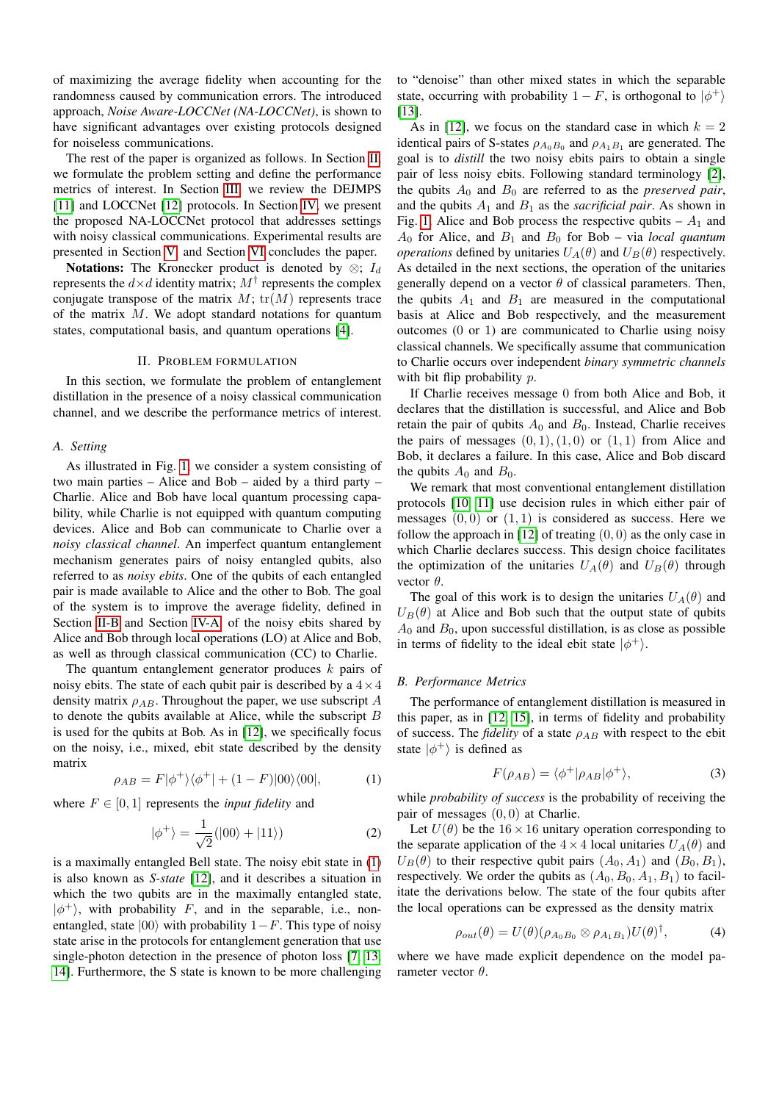of maximizing the average fidelity when accounting for the randomness caused by communication errors. The introduced approach, *Noise Aware-LOCCNet (NA-LOCCNet)*, is shown to have significant advantages over existing protocols designed for noiseless communications.

The rest of the paper is organized as follows. In Section [II,](#page-1-0) we formulate the problem setting and define the performance metrics of interest. In Section [III,](#page-2-1) we review the DEJMPS [\[11\]](#page-4-10) and LOCCNet [\[12\]](#page-4-11) protocols. In Section [IV,](#page-2-2) we present the proposed NA-LOCCNet protocol that addresses settings with noisy classical communications. Experimental results are presented in Section [V,](#page-3-1) and Section [VI](#page-4-12) concludes the paper.

**Notations:** The Kronecker product is denoted by  $\otimes$ ;  $I_d$ represents the  $d\times d$  identity matrix;  $M^\dagger$  represents the complex conjugate transpose of the matrix  $M$ ;  $tr(M)$  represents trace of the matrix  $M$ . We adopt standard notations for quantum states, computational basis, and quantum operations [\[4\]](#page-4-2).

# II. PROBLEM FORMULATION

<span id="page-1-0"></span>In this section, we formulate the problem of entanglement distillation in the presence of a noisy classical communication channel, and we describe the performance metrics of interest.

#### <span id="page-1-4"></span>*A. Setting*

As illustrated in Fig. [1,](#page-0-0) we consider a system consisting of two main parties – Alice and Bob – aided by a third party – Charlie. Alice and Bob have local quantum processing capability, while Charlie is not equipped with quantum computing devices. Alice and Bob can communicate to Charlie over a *noisy classical channel*. An imperfect quantum entanglement mechanism generates pairs of noisy entangled qubits, also referred to as *noisy ebits*. One of the qubits of each entangled pair is made available to Alice and the other to Bob. The goal of the system is to improve the average fidelity, defined in Section [II-B](#page-1-1) and Section [IV-A,](#page-2-3) of the noisy ebits shared by Alice and Bob through local operations (LO) at Alice and Bob, as well as through classical communication (CC) to Charlie.

The quantum entanglement generator produces  $k$  pairs of noisy ebits. The state of each qubit pair is described by a  $4 \times 4$ density matrix  $\rho_{AB}$ . Throughout the paper, we use subscript A to denote the qubits available at Alice, while the subscript B is used for the qubits at Bob. As in [\[12\]](#page-4-11), we specifically focus on the noisy, i.e., mixed, ebit state described by the density matrix

<span id="page-1-2"></span>
$$
\rho_{AB} = F|\phi^+\rangle\langle\phi^+| + (1 - F)|00\rangle\langle00|, \tag{1}
$$

where  $F \in [0, 1]$  represents the *input fidelity* and

$$
|\phi^{+}\rangle = \frac{1}{\sqrt{2}}(|00\rangle + |11\rangle)
$$
 (2)

is a maximally entangled Bell state. The noisy ebit state in [\(1\)](#page-1-2) is also known as *S-state* [\[12\]](#page-4-11), and it describes a situation in which the two qubits are in the maximally entangled state,  $|\phi^+\rangle$ , with probability F, and in the separable, i.e., nonentangled, state  $|00\rangle$  with probability 1−F. This type of noisy state arise in the protocols for entanglement generation that use single-photon detection in the presence of photon loss [\[7,](#page-4-5) [13,](#page-4-13) [14\]](#page-4-14). Furthermore, the S state is known to be more challenging

to "denoise" than other mixed states in which the separable state, occurring with probability  $1 - F$ , is orthogonal to  $|\phi^+\rangle$ [\[13\]](#page-4-13).

As in [\[12\]](#page-4-11), we focus on the standard case in which  $k = 2$ identical pairs of S-states  $\rho_{A_0B_0}$  and  $\rho_{A_1B_1}$  are generated. The goal is to *distill* the two noisy ebits pairs to obtain a single pair of less noisy ebits. Following standard terminology [\[2\]](#page-4-8), the qubits  $A_0$  and  $B_0$  are referred to as the *preserved pair*, and the qubits  $A_1$  and  $B_1$  as the *sacrificial pair*. As shown in Fig. [1,](#page-0-0) Alice and Bob process the respective qubits  $- A_1$  and  $A_0$  for Alice, and  $B_1$  and  $B_0$  for Bob – via *local quantum operations* defined by unitaries  $U_A(\theta)$  and  $U_B(\theta)$  respectively. As detailed in the next sections, the operation of the unitaries generally depend on a vector  $\theta$  of classical parameters. Then, the qubits  $A_1$  and  $B_1$  are measured in the computational basis at Alice and Bob respectively, and the measurement outcomes (0 or 1) are communicated to Charlie using noisy classical channels. We specifically assume that communication to Charlie occurs over independent *binary symmetric channels* with bit flip probability  $p$ .

If Charlie receives message 0 from both Alice and Bob, it declares that the distillation is successful, and Alice and Bob retain the pair of qubits  $A_0$  and  $B_0$ . Instead, Charlie receives the pairs of messages  $(0, 1), (1, 0)$  or  $(1, 1)$  from Alice and Bob, it declares a failure. In this case, Alice and Bob discard the qubits  $A_0$  and  $B_0$ .

We remark that most conventional entanglement distillation protocols [\[10,](#page-4-9) [11\]](#page-4-10) use decision rules in which either pair of messages  $(0, 0)$  or  $(1, 1)$  is considered as success. Here we follow the approach in  $[12]$  of treating  $(0, 0)$  as the only case in which Charlie declares success. This design choice facilitates the optimization of the unitaries  $U_A(\theta)$  and  $U_B(\theta)$  through vector  $\theta$ .

The goal of this work is to design the unitaries  $U_A(\theta)$  and  $U_B(\theta)$  at Alice and Bob such that the output state of qubits  $A_0$  and  $B_0$ , upon successful distillation, is as close as possible in terms of fidelity to the ideal ebit state  $|\phi^+\rangle$ .

# <span id="page-1-1"></span>*B. Performance Metrics*

The performance of entanglement distillation is measured in this paper, as in [\[12,](#page-4-11) [15\]](#page-4-15), in terms of fidelity and probability of success. The *fidelity* of a state  $\rho_{AB}$  with respect to the ebit state  $|\phi^+\rangle$  is defined as

<span id="page-1-3"></span>
$$
F(\rho_{AB}) = \langle \phi^+ | \rho_{AB} | \phi^+ \rangle, \tag{3}
$$

while *probability of success* is the probability of receiving the pair of messages (0, 0) at Charlie.

Let  $U(\theta)$  be the 16 × 16 unitary operation corresponding to the separate application of the  $4 \times 4$  local unitaries  $U_A(\theta)$  and  $U_B(\theta)$  to their respective qubit pairs  $(A_0, A_1)$  and  $(B_0, B_1)$ , respectively. We order the qubits as  $(A_0, B_0, A_1, B_1)$  to facilitate the derivations below. The state of the four qubits after the local operations can be expressed as the density matrix

$$
\rho_{out}(\theta) = U(\theta)(\rho_{A_0B_0} \otimes \rho_{A_1B_1})U(\theta)^{\dagger}, \tag{4}
$$

where we have made explicit dependence on the model parameter vector  $\theta$ .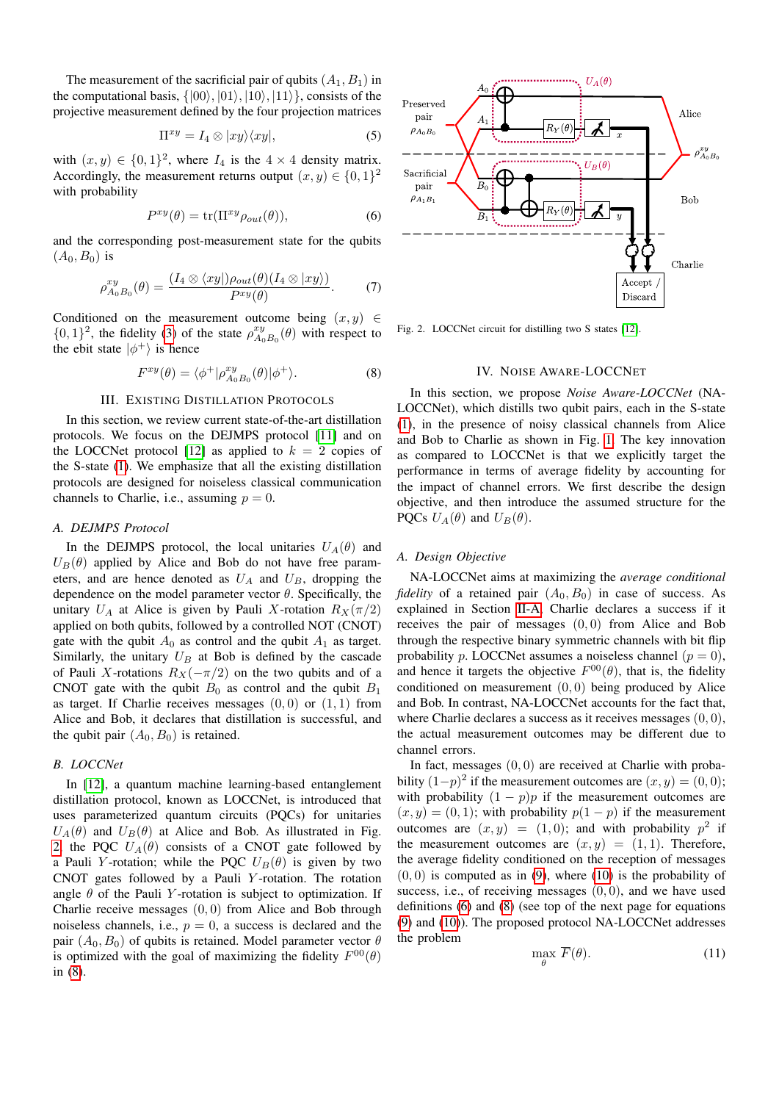The measurement of the sacrificial pair of qubits  $(A_1, B_1)$  in the computational basis,  $\{ |00\rangle, |01\rangle, |10\rangle, |11\rangle \}$ , consists of the projective measurement defined by the four projection matrices

$$
\Pi^{xy} = I_4 \otimes |xy\rangle\langle xy|,\tag{5}
$$

with  $(x, y) \in \{0, 1\}^2$ , where  $I_4$  is the  $4 \times 4$  density matrix. Accordingly, the measurement returns output  $(x, y) \in \{0, 1\}^2$ with probability

<span id="page-2-5"></span>
$$
P^{xy}(\theta) = \text{tr}(\Pi^{xy}\rho_{out}(\theta)),\tag{6}
$$

and the corresponding post-measurement state for the qubits  $(A_0, B_0)$  is

$$
\rho_{A_0B_0}^{xy}(\theta) = \frac{(I_4 \otimes \langle xy |) \rho_{out}(\theta) (I_4 \otimes |xy \rangle)}{P^{xy}(\theta)}.
$$
 (7)

Conditioned on the measurement outcome being  $(x, y) \in$  $\{0, 1\}^2$ , the fidelity [\(3\)](#page-1-3) of the state  $\rho_{A_0B_0}^{xy}(\theta)$  with respect to the ebit state  $|\phi^{+}\rangle$  is hence

<span id="page-2-4"></span>
$$
F^{xy}(\theta) = \langle \phi^+ | \rho_{A_0 B_0}^{xy}(\theta) | \phi^+ \rangle.
$$
 (8)

# III. EXISTING DISTILLATION PROTOCOLS

<span id="page-2-1"></span>In this section, we review current state-of-the-art distillation protocols. We focus on the DEJMPS protocol [\[11\]](#page-4-10) and on the LOCCNet protocol [\[12\]](#page-4-11) as applied to  $k = 2$  copies of the S-state [\(1\)](#page-1-2). We emphasize that all the existing distillation protocols are designed for noiseless classical communication channels to Charlie, i.e., assuming  $p = 0$ .

#### <span id="page-2-7"></span>*A. DEJMPS Protocol*

In the DEJMPS protocol, the local unitaries  $U_A(\theta)$  and  $U_B(\theta)$  applied by Alice and Bob do not have free parameters, and are hence denoted as  $U_A$  and  $U_B$ , dropping the dependence on the model parameter vector  $\theta$ . Specifically, the unitary  $U_A$  at Alice is given by Pauli X-rotation  $R_X(\pi/2)$ applied on both qubits, followed by a controlled NOT (CNOT) gate with the qubit  $A_0$  as control and the qubit  $A_1$  as target. Similarly, the unitary  $U_B$  at Bob is defined by the cascade of Pauli X-rotations  $R_X(-\pi/2)$  on the two qubits and of a CNOT gate with the qubit  $B_0$  as control and the qubit  $B_1$ as target. If Charlie receives messages  $(0, 0)$  or  $(1, 1)$  from Alice and Bob, it declares that distillation is successful, and the qubit pair  $(A_0, B_0)$  is retained.

# <span id="page-2-8"></span>*B. LOCCNet*

In [\[12\]](#page-4-11), a quantum machine learning-based entanglement distillation protocol, known as LOCCNet, is introduced that uses parameterized quantum circuits (PQCs) for unitaries  $U_A(\theta)$  and  $U_B(\theta)$  at Alice and Bob. As illustrated in Fig. [2,](#page-2-0) the PQC  $U_A(\theta)$  consists of a CNOT gate followed by a Pauli Y-rotation; while the PQC  $U_B(\theta)$  is given by two CNOT gates followed by a Pauli Y -rotation. The rotation angle  $\theta$  of the Pauli Y-rotation is subject to optimization. If Charlie receive messages  $(0, 0)$  from Alice and Bob through noiseless channels, i.e.,  $p = 0$ , a success is declared and the pair  $(A_0, B_0)$  of qubits is retained. Model parameter vector  $\theta$ is optimized with the goal of maximizing the fidelity  $F^{00}(\theta)$ in [\(8\)](#page-2-4).



<span id="page-2-0"></span>Fig. 2. LOCCNet circuit for distilling two S states [\[12\]](#page-4-11).

# IV. NOISE AWARE-LOCCNET

<span id="page-2-2"></span>In this section, we propose *Noise Aware-LOCCNet* (NA-LOCCNet), which distills two qubit pairs, each in the S-state [\(1\)](#page-1-2), in the presence of noisy classical channels from Alice and Bob to Charlie as shown in Fig. [1.](#page-0-0) The key innovation as compared to LOCCNet is that we explicitly target the performance in terms of average fidelity by accounting for the impact of channel errors. We first describe the design objective, and then introduce the assumed structure for the PQCs  $U_A(\theta)$  and  $U_B(\theta)$ .

#### <span id="page-2-3"></span>*A. Design Objective*

NA-LOCCNet aims at maximizing the *average conditional fidelity* of a retained pair  $(A_0, B_0)$  in case of success. As explained in Section [II-A,](#page-1-4) Charlie declares a success if it receives the pair of messages (0, 0) from Alice and Bob through the respective binary symmetric channels with bit flip probability p. LOCCNet assumes a noiseless channel  $(p = 0)$ , and hence it targets the objective  $F^{00}(\theta)$ , that is, the fidelity conditioned on measurement  $(0, 0)$  being produced by Alice and Bob. In contrast, NA-LOCCNet accounts for the fact that, where Charlie declares a success as it receives messages  $(0, 0)$ , the actual measurement outcomes may be different due to channel errors.

In fact, messages  $(0, 0)$  are received at Charlie with probability  $(1-p)^2$  if the measurement outcomes are  $(x, y) = (0, 0)$ ; with probability  $(1 - p)p$  if the measurement outcomes are  $(x, y) = (0, 1)$ ; with probability  $p(1 - p)$  if the measurement outcomes are  $(x, y) = (1, 0)$ ; and with probability  $p^2$  if the measurement outcomes are  $(x, y) = (1, 1)$ . Therefore, the average fidelity conditioned on the reception of messages  $(0, 0)$  is computed as in [\(9\)](#page-3-2), where [\(10\)](#page-3-3) is the probability of success, i.e., of receiving messages  $(0, 0)$ , and we have used definitions [\(6\)](#page-2-5) and [\(8\)](#page-2-4) (see top of the next page for equations [\(9\)](#page-3-2) and [\(10\)](#page-3-3)). The proposed protocol NA-LOCCNet addresses the problem

<span id="page-2-6"></span>
$$
\max_{\theta} F(\theta). \tag{11}
$$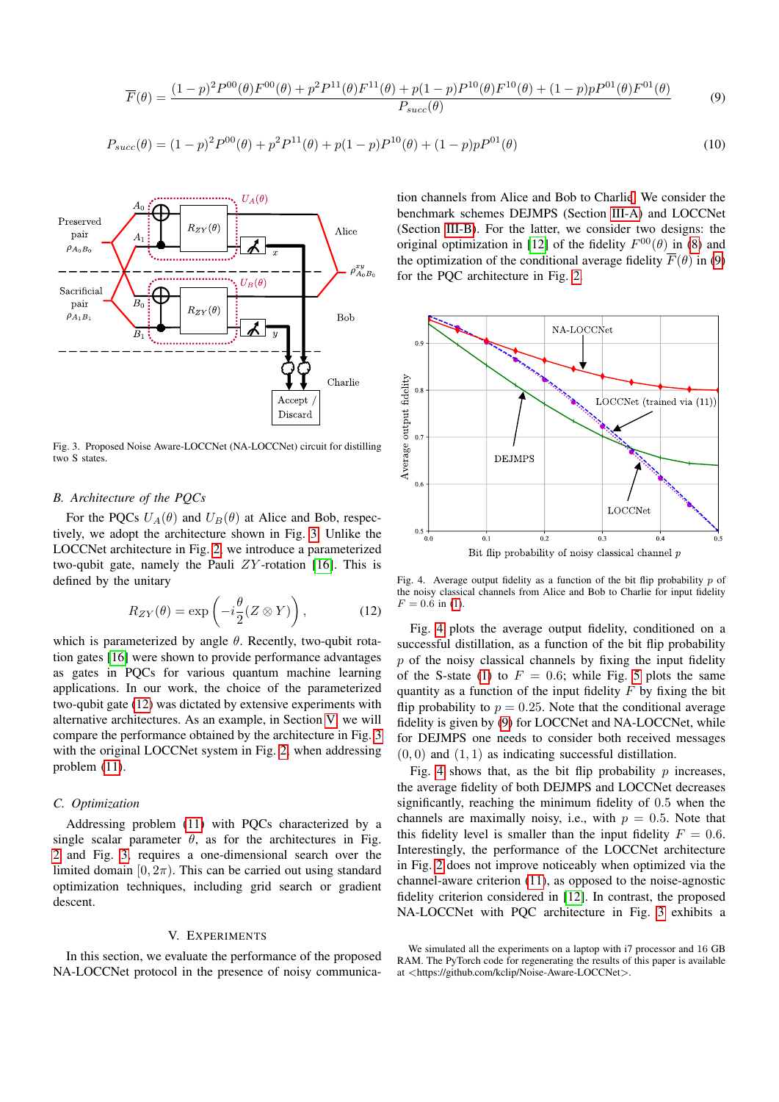$$
\overline{F}(\theta) = \frac{(1-p)^2 P^{00}(\theta) F^{00}(\theta) + p^2 P^{11}(\theta) F^{11}(\theta) + p(1-p) P^{10}(\theta) F^{10}(\theta) + (1-p) p P^{01}(\theta) F^{01}(\theta)}{P_{succ}(\theta)}
$$
(9)

$$
P_{succ}(\theta) = (1-p)^2 P^{00}(\theta) + p^2 P^{11}(\theta) + p(1-p) P^{10}(\theta) + (1-p) p P^{01}(\theta)
$$
\n(10)



<span id="page-3-0"></span>Fig. 3. Proposed Noise Aware-LOCCNet (NA-LOCCNet) circuit for distilling two S states.

# *B. Architecture of the PQCs*

For the PQCs  $U_A(\theta)$  and  $U_B(\theta)$  at Alice and Bob, respectively, we adopt the architecture shown in Fig. [3.](#page-3-0) Unlike the LOCCNet architecture in Fig. [2,](#page-2-0) we introduce a parameterized two-qubit gate, namely the Pauli  $ZY$ -rotation [\[16\]](#page-4-16). This is defined by the unitary

<span id="page-3-4"></span>
$$
R_{ZY}(\theta) = \exp\left(-i\frac{\theta}{2}(Z \otimes Y)\right),\tag{12}
$$

which is parameterized by angle  $\theta$ . Recently, two-qubit rotation gates [\[16\]](#page-4-16) were shown to provide performance advantages as gates in PQCs for various quantum machine learning applications. In our work, the choice of the parameterized two-qubit gate [\(12\)](#page-3-4) was dictated by extensive experiments with alternative architectures. As an example, in Section [V,](#page-3-1) we will compare the performance obtained by the architecture in Fig. [3](#page-3-0) with the original LOCCNet system in Fig. [2,](#page-2-0) when addressing problem [\(11\)](#page-2-6).

#### *C. Optimization*

Addressing problem [\(11\)](#page-2-6) with PQCs characterized by a single scalar parameter  $\theta$ , as for the architectures in Fig. [2](#page-2-0) and Fig. [3,](#page-3-0) requires a one-dimensional search over the limited domain  $[0, 2\pi)$ . This can be carried out using standard optimization techniques, including grid search or gradient descent.

# V. EXPERIMENTS

<span id="page-3-1"></span>In this section, we evaluate the performance of the proposed NA-LOCCNet protocol in the presence of noisy communica<span id="page-3-3"></span><span id="page-3-2"></span>tion channels from Alice and Bob to Charli[e.](#page-3-5) We consider the benchmark schemes DEJMPS (Section [III-A\)](#page-2-7) and LOCCNet (Section [III-B\)](#page-2-8). For the latter, we consider two designs: the original optimization in [\[12\]](#page-4-11) of the fidelity  $F^{00}(\theta)$  in [\(8\)](#page-2-4) and the optimization of the conditional average fidelity  $F(\theta)$  in [\(9\)](#page-3-2) for the PQC architecture in Fig. [2.](#page-2-0)



<span id="page-3-6"></span>Fig. 4. Average output fidelity as a function of the bit flip probability  $p$  of the noisy classical channels from Alice and Bob to Charlie for input fidelity  $F = 0.6$  in [\(1\)](#page-1-2).

Fig. [4](#page-3-6) plots the average output fidelity, conditioned on a successful distillation, as a function of the bit flip probability  $p$  of the noisy classical channels by fixing the input fidelity of the S-state [\(1\)](#page-1-2) to  $F = 0.6$ ; while Fig. [5](#page-4-17) plots the same quantity as a function of the input fidelity  $F$  by fixing the bit flip probability to  $p = 0.25$ . Note that the conditional average fidelity is given by [\(9\)](#page-3-2) for LOCCNet and NA-LOCCNet, while for DEJMPS one needs to consider both received messages  $(0, 0)$  and  $(1, 1)$  as indicating successful distillation.

Fig. [4](#page-3-6) shows that, as the bit flip probability  $p$  increases, the average fidelity of both DEJMPS and LOCCNet decreases significantly, reaching the minimum fidelity of 0.5 when the channels are maximally noisy, i.e., with  $p = 0.5$ . Note that this fidelity level is smaller than the input fidelity  $F = 0.6$ . Interestingly, the performance of the LOCCNet architecture in Fig. [2](#page-2-0) does not improve noticeably when optimized via the channel-aware criterion [\(11\)](#page-2-6), as opposed to the noise-agnostic fidelity criterion considered in [\[12\]](#page-4-11). In contrast, the proposed NA-LOCCNet with PQC architecture in Fig. [3](#page-3-0) exhibits a

<span id="page-3-5"></span>We simulated all the experiments on a laptop with i7 processor and 16 GB RAM. The PyTorch code for regenerating the results of this paper is available at <https://github.com/kclip/Noise-Aware-LOCCNet>.